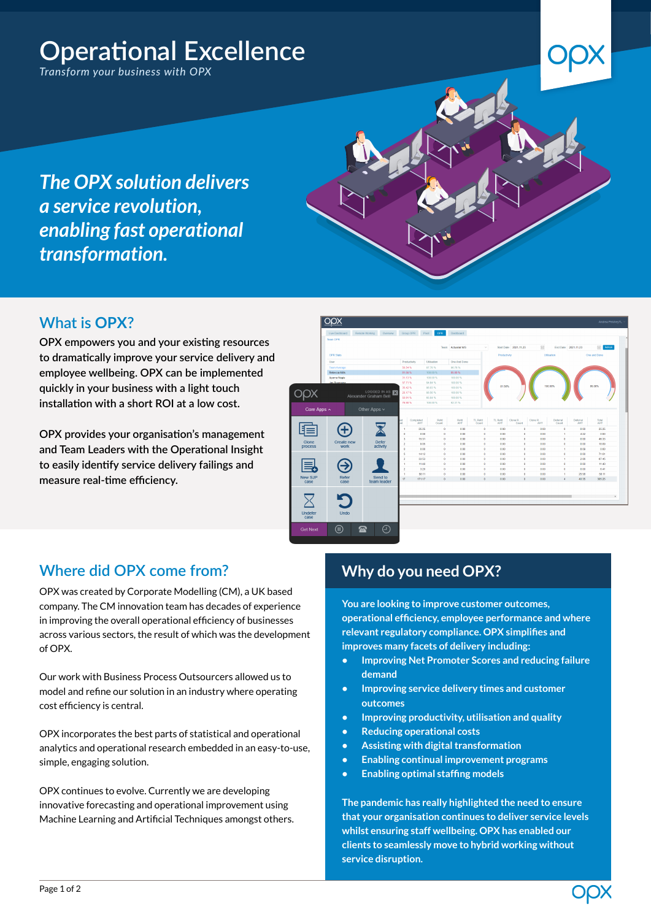# **Operational Excellence**

*Transform your business with OPX*

*The OPX solution delivers a service revolution, enabling fast operational transformation.*

# **What is OPX?**

**OPX empowers you and your existing resources to dramatically improve your service delivery and employee wellbeing. OPX can be implemented quickly in your business with a light touch installation with a short ROI at a low cost.**

**OPX provides your organisation's management and Team Leaders with the Operational Insight to easily identify service delivery failings and measure real-time efficiency.**



## **Where did OPX come from?**

OPX was created by Corporate Modelling (CM), a UK based company. The CM innovation team has decades of experience in improving the overall operational efficiency of businesses across various sectors, the result of which was the development of OPX.

Our work with Business Process Outsourcers allowed us to model and refine our solution in an industry where operating cost efficiency is central.

OPX incorporates the best parts of statistical and operational analytics and operational research embedded in an easy-to-use, simple, engaging solution.

OPX continues to evolve. Currently we are developing innovative forecasting and operational improvement using Machine Learning and Artificial Techniques amongst others.

# **Why do you need OPX?**

**You are looking to improve customer outcomes, operational efficiency, employee performance and where relevant regulatory compliance. OPX simplifies and improves many facets of delivery including:**

- **• Improving Net Promoter Scores and reducing failure demand**
- **• Improving service delivery times and customer outcomes**
- **• Improving productivity, utilisation and quality**
- **• Reducing operational costs**
- **• Assisting with digital transformation**
- **• Enabling continual improvement programs**
- **• Enabling optimal staffing models**

**The pandemic has really highlighted the need to ensure that your organisation continues to deliver service levels whilst ensuring staff wellbeing. OPX has enabled our clients to seamlessly move to hybrid working without service disruption.**